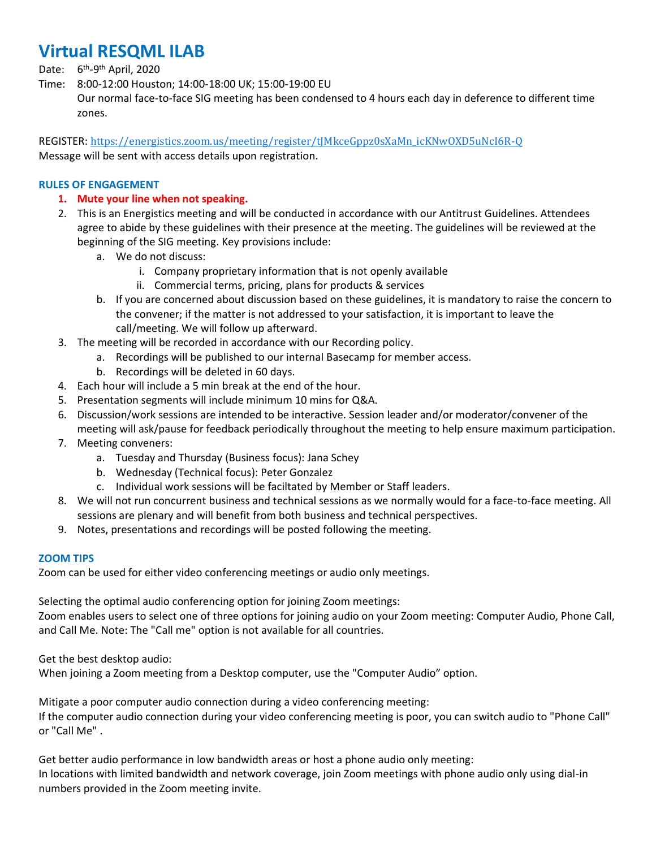# **Virtual RESQML ILAB**

Date: 6<sup>th</sup>-9<sup>th</sup> April, 2020

Time: 8:00-12:00 Houston; 14:00-18:00 UK; 15:00-19:00 EU

Our normal face-to-face SIG meeting has been condensed to 4 hours each day in deference to different time zones.

REGISTER: [https://energistics.zoom.us/meeting/register/tJMkceGppz0sXaMn\\_icKNwOXD5uNcI6R-Q](https://energistics.zoom.us/meeting/register/tJMkceGppz0sXaMn_icKNwOXD5uNcI6R-Q) Message will be sent with access details upon registration.

# **RULES OF ENGAGEMENT**

- **1. Mute your line when not speaking.**
- 2. This is an Energistics meeting and will be conducted in accordance with our Antitrust Guidelines. Attendees agree to abide by these guidelines with their presence at the meeting. The guidelines will be reviewed at the beginning of the SIG meeting. Key provisions include:
	- a. We do not discuss:
		- i. Company proprietary information that is not openly available
		- ii. Commercial terms, pricing, plans for products & services
	- b. If you are concerned about discussion based on these guidelines, it is mandatory to raise the concern to the convener; if the matter is not addressed to your satisfaction, it is important to leave the call/meeting. We will follow up afterward.
- 3. The meeting will be recorded in accordance with our Recording policy.
	- a. Recordings will be published to our internal Basecamp for member access.
	- b. Recordings will be deleted in 60 days.
- 4. Each hour will include a 5 min break at the end of the hour.
- 5. Presentation segments will include minimum 10 mins for Q&A.
- 6. Discussion/work sessions are intended to be interactive. Session leader and/or moderator/convener of the meeting will ask/pause for feedback periodically throughout the meeting to help ensure maximum participation.
- 7. Meeting conveners:
	- a. Tuesday and Thursday (Business focus): Jana Schey
	- b. Wednesday (Technical focus): Peter Gonzalez
	- c. Individual work sessions will be faciltated by Member or Staff leaders.
- 8. We will not run concurrent business and technical sessions as we normally would for a face-to-face meeting. All sessions are plenary and will benefit from both business and technical perspectives.
- 9. Notes, presentations and recordings will be posted following the meeting.

#### **ZOOM TIPS**

Zoom can be used for either video conferencing meetings or audio only meetings.

Selecting the optimal audio conferencing option for joining Zoom meetings:

Zoom enables users to select one of three options for joining audio on your Zoom meeting: Computer Audio, Phone Call, and Call Me. Note: The "Call me" option is not available for all countries.

Get the best desktop audio:

When joining a Zoom meeting from a Desktop computer, use the "Computer Audio" option.

Mitigate a poor computer audio connection during a video conferencing meeting: If the computer audio connection during your video conferencing meeting is poor, you can switch audio to "Phone Call" or "Call Me" .

Get better audio performance in low bandwidth areas or host a phone audio only meeting: In locations with limited bandwidth and network coverage, join Zoom meetings with phone audio only using dial-in numbers provided in the Zoom meeting invite.